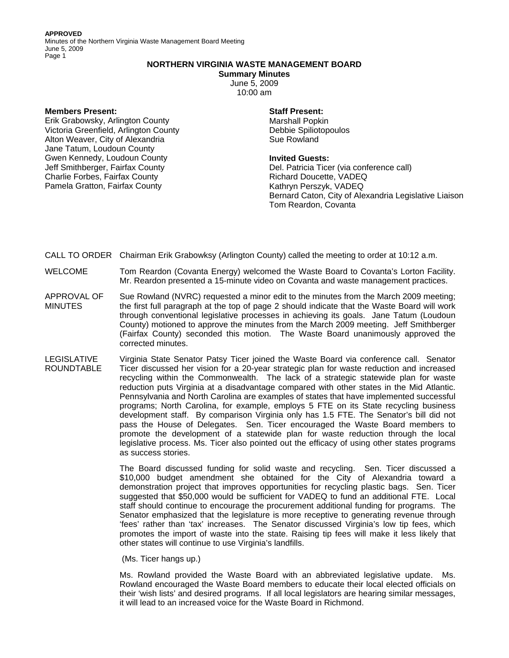**APPROVED** 

Minutes of the Northern Virginia Waste Management Board Meeting June 5, 2009 Page 1

# **NORTHERN VIRGINIA WASTE MANAGEMENT BOARD**

**Summary Minutes** 

June 5, 2009 10:00 am

## **Members Present:**

Erik Grabowsky, Arlington County Victoria Greenfield, Arlington County Alton Weaver, City of Alexandria Jane Tatum, Loudoun County Gwen Kennedy, Loudoun County Jeff Smithberger, Fairfax County Charlie Forbes, Fairfax County Pamela Gratton, Fairfax County

## **Staff Present:**

Marshall Popkin Debbie Spiliotopoulos Sue Rowland

## **Invited Guests:**

Del. Patricia Ticer (via conference call) Richard Doucette, VADEQ Kathryn Perszyk, VADEQ Bernard Caton, City of Alexandria Legislative Liaison Tom Reardon, Covanta

CALL TO ORDER Chairman Erik Grabowksy (Arlington County) called the meeting to order at 10:12 a.m.

- WELCOME Tom Reardon (Covanta Energy) welcomed the Waste Board to Covanta's Lorton Facility. Mr. Reardon presented a 15-minute video on Covanta and waste management practices.
- APPROVAL OF MINUTES Sue Rowland (NVRC) requested a minor edit to the minutes from the March 2009 meeting; the first full paragraph at the top of page 2 should indicate that the Waste Board will work through conventional legislative processes in achieving its goals. Jane Tatum (Loudoun County) motioned to approve the minutes from the March 2009 meeting. Jeff Smithberger (Fairfax County) seconded this motion. The Waste Board unanimously approved the corrected minutes.
- LEGISLATIVE ROUNDTABLE Virginia State Senator Patsy Ticer joined the Waste Board via conference call. Senator Ticer discussed her vision for a 20-year strategic plan for waste reduction and increased recycling within the Commonwealth. The lack of a strategic statewide plan for waste reduction puts Virginia at a disadvantage compared with other states in the Mid Atlantic. Pennsylvania and North Carolina are examples of states that have implemented successful programs; North Carolina, for example, employs 5 FTE on its State recycling business development staff. By comparison Virginia only has 1.5 FTE. The Senator's bill did not pass the House of Delegates. Sen. Ticer encouraged the Waste Board members to promote the development of a statewide plan for waste reduction through the local legislative process. Ms. Ticer also pointed out the efficacy of using other states programs as success stories.

The Board discussed funding for solid waste and recycling. Sen. Ticer discussed a \$10,000 budget amendment she obtained for the City of Alexandria toward a demonstration project that improves opportunities for recycling plastic bags. Sen. Ticer suggested that \$50,000 would be sufficient for VADEQ to fund an additional FTE. Local staff should continue to encourage the procurement additional funding for programs. The Senator emphasized that the legislature is more receptive to generating revenue through 'fees' rather than 'tax' increases. The Senator discussed Virginia's low tip fees, which promotes the import of waste into the state. Raising tip fees will make it less likely that other states will continue to use Virginia's landfills.

(Ms. Ticer hangs up.)

Ms. Rowland provided the Waste Board with an abbreviated legislative update. Ms. Rowland encouraged the Waste Board members to educate their local elected officials on their 'wish lists' and desired programs. If all local legislators are hearing similar messages, it will lead to an increased voice for the Waste Board in Richmond.